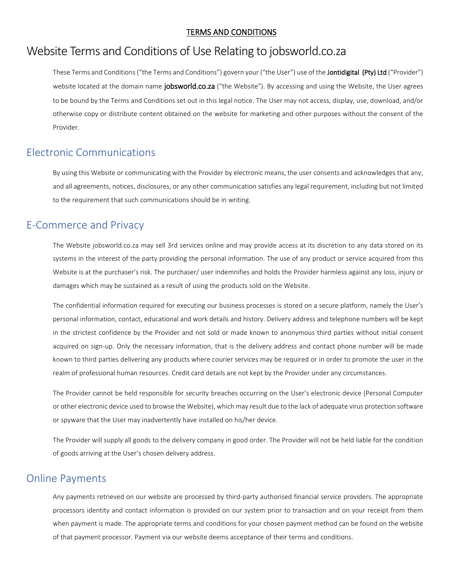#### TERMS AND CONDITIONS

# Website Terms and Conditions of Use Relating to jobsworld.co.za

These Terms and Conditions ("the Terms and Conditions") govern your ("the User") use of the Jontidigital (Pty) Ltd ("Provider") website located at the domain name jobsworld.co.za ("the Website"). By accessing and using the Website, the User agrees to be bound by the Terms and Conditions set out in this legal notice. The User may not access, display, use, download, and/or otherwise copy or distribute content obtained on the website for marketing and other purposes without the consent of the Provider.

### Electronic Communications

By using this Website or communicating with the Provider by electronic means, the user consents and acknowledges that any, and all agreements, notices, disclosures, or any other communication satisfies any legal requirement, including but not limited to the requirement that such communications should be in writing.

### E-Commerce and Privacy

The Website jobsworld.co.za may sell 3rd services online and may provide access at its discretion to any data stored on its systems in the interest of the party providing the personal information. The use of any product or service acquired from this Website is at the purchaser's risk. The purchaser/ user indemnifies and holds the Provider harmless against any loss, injury or damages which may be sustained as a result of using the products sold on the Website.

The confidential information required for executing our business processes is stored on a secure platform, namely the User's personal information, contact, educational and work details and history. Delivery address and telephone numbers will be kept in the strictest confidence by the Provider and not sold or made known to anonymous third parties without initial consent acquired on sign-up. Only the necessary information, that is the delivery address and contact phone number will be made known to third parties delivering any products where courier services may be required or in order to promote the user in the realm of professional human resources. Credit card details are not kept by the Provider under any circumstances.

The Provider cannot be held responsible for security breaches occurring on the User's electronic device (Personal Computer or other electronic device used to browse the Website), which may result due to the lack of adequate virus protection software or spyware that the User may inadvertently have installed on his/her device.

The Provider will supply all goods to the delivery company in good order. The Provider will not be held liable for the condition of goods arriving at the User's chosen delivery address.

#### Online Payments

Any payments retrieved on our website are processed by third-party authorised financial service providers. The appropriate processors identity and contact information is provided on our system prior to transaction and on your receipt from them when payment is made. The appropriate terms and conditions for your chosen payment method can be found on the website of that payment processor. Payment via our website deems acceptance of their terms and conditions.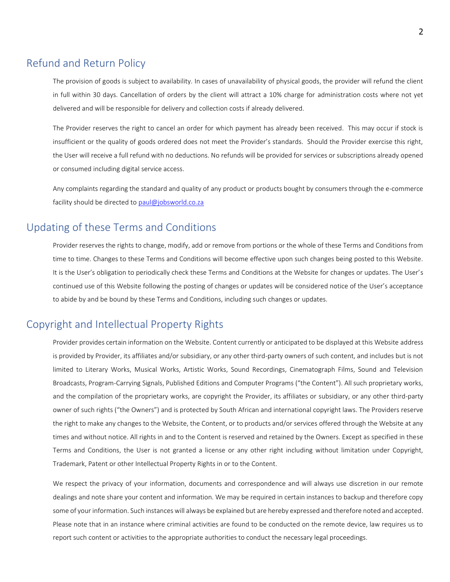#### Refund and Return Policy

The provision of goods is subject to availability. In cases of unavailability of physical goods, the provider will refund the client in full within 30 days. Cancellation of orders by the client will attract a 10% charge for administration costs where not yet delivered and will be responsible for delivery and collection costs if already delivered.

The Provider reserves the right to cancel an order for which payment has already been received. This may occur if stock is insufficient or the quality of goods ordered does not meet the Provider's standards. Should the Provider exercise this right, the User will receive a full refund with no deductions. No refunds will be provided for services or subscriptions already opened or consumed including digital service access.

Any complaints regarding the standard and quality of any product or products bought by consumers through the e-commerce facility should be directed to [paul@jobsworld.co.za](mailto:paul@jobsworld.co.za)

### Updating of these Terms and Conditions

Provider reserves the rights to change, modify, add or remove from portions or the whole of these Terms and Conditions from time to time. Changes to these Terms and Conditions will become effective upon such changes being posted to this Website. It is the User's obligation to periodically check these Terms and Conditions at the Website for changes or updates. The User's continued use of this Website following the posting of changes or updates will be considered notice of the User's acceptance to abide by and be bound by these Terms and Conditions, including such changes or updates.

### Copyright and Intellectual Property Rights

Provider provides certain information on the Website. Content currently or anticipated to be displayed at this Website address is provided by Provider, its affiliates and/or subsidiary, or any other third-party owners of such content, and includes but is not limited to Literary Works, Musical Works, Artistic Works, Sound Recordings, Cinematograph Films, Sound and Television Broadcasts, Program-Carrying Signals, Published Editions and Computer Programs ("the Content"). All such proprietary works, and the compilation of the proprietary works, are copyright the Provider, its affiliates or subsidiary, or any other third-party owner of such rights ("the Owners") and is protected by South African and international copyright laws. The Providers reserve the right to make any changes to the Website, the Content, or to products and/or services offered through the Website at any times and without notice. All rights in and to the Content is reserved and retained by the Owners. Except as specified in these Terms and Conditions, the User is not granted a license or any other right including without limitation under Copyright, Trademark, Patent or other Intellectual Property Rights in or to the Content.

We respect the privacy of your information, documents and correspondence and will always use discretion in our remote dealings and note share your content and information. We may be required in certain instances to backup and therefore copy some of your information. Such instances will always be explained but are hereby expressed and therefore noted and accepted. Please note that in an instance where criminal activities are found to be conducted on the remote device, law requires us to report such content or activities to the appropriate authorities to conduct the necessary legal proceedings.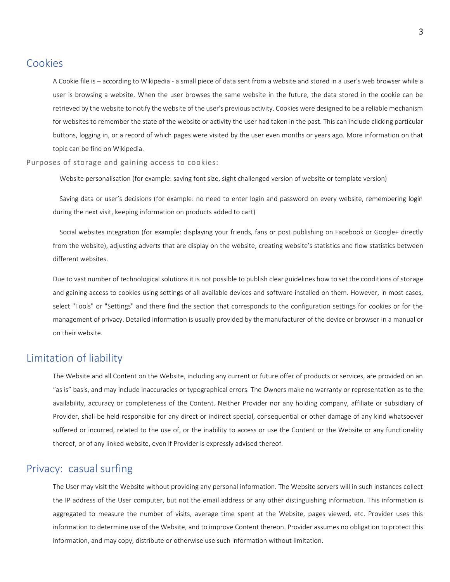#### Cookies

A Cookie file is – according to Wikipedia - a small piece of data sent from a website and stored in a user's web browser while a user is browsing a website. When the user browses the same website in the future, the data stored in the cookie can be retrieved by the website to notify the website of the user's previous activity. Cookies were designed to be a reliable mechanism for websites to remember the state of the website or activity the user had taken in the past. This can include clicking particular buttons, logging in, or a record of which pages were visited by the user even months or years ago. More information on that topic can be find on Wikipedia.

Purposes of storage and gaining access to cookies:

Website personalisation (for example: saving font size, sight challenged version of website or template version)

 Saving data or user's decisions (for example: no need to enter login and password on every website, remembering login during the next visit, keeping information on products added to cart)

 Social websites integration (for example: displaying your friends, fans or post publishing on Facebook or Google+ directly from the website), adjusting adverts that are display on the website, creating website's statistics and flow statistics between different websites.

Due to vast number of technological solutions it is not possible to publish clear guidelines how to set the conditions of storage and gaining access to cookies using settings of all available devices and software installed on them. However, in most cases, select "Tools" or "Settings" and there find the section that corresponds to the configuration settings for cookies or for the management of privacy. Detailed information is usually provided by the manufacturer of the device or browser in a manual or on their website.

#### Limitation of liability

The Website and all Content on the Website, including any current or future offer of products or services, are provided on an "as is" basis, and may include inaccuracies or typographical errors. The Owners make no warranty or representation as to the availability, accuracy or completeness of the Content. Neither Provider nor any holding company, affiliate or subsidiary of Provider, shall be held responsible for any direct or indirect special, consequential or other damage of any kind whatsoever suffered or incurred, related to the use of, or the inability to access or use the Content or the Website or any functionality thereof, or of any linked website, even if Provider is expressly advised thereof.

#### Privacy: casual surfing

The User may visit the Website without providing any personal information. The Website servers will in such instances collect the IP address of the User computer, but not the email address or any other distinguishing information. This information is aggregated to measure the number of visits, average time spent at the Website, pages viewed, etc. Provider uses this information to determine use of the Website, and to improve Content thereon. Provider assumes no obligation to protect this information, and may copy, distribute or otherwise use such information without limitation.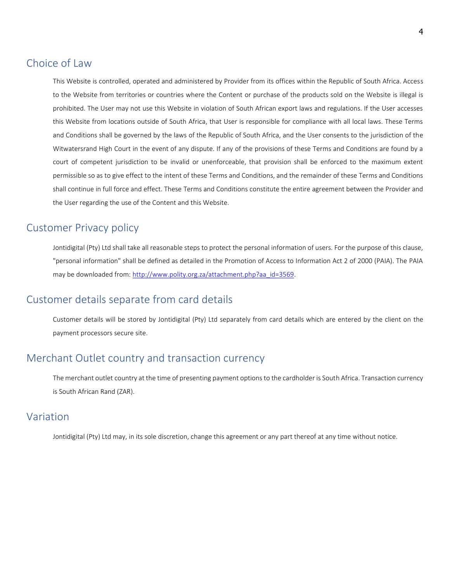#### Choice of Law

This Website is controlled, operated and administered by Provider from its offices within the Republic of South Africa. Access to the Website from territories or countries where the Content or purchase of the products sold on the Website is illegal is prohibited. The User may not use this Website in violation of South African export laws and regulations. If the User accesses this Website from locations outside of South Africa, that User is responsible for compliance with all local laws. These Terms and Conditions shall be governed by the laws of the Republic of South Africa, and the User consents to the jurisdiction of the Witwatersrand High Court in the event of any dispute. If any of the provisions of these Terms and Conditions are found by a court of competent jurisdiction to be invalid or unenforceable, that provision shall be enforced to the maximum extent permissible so as to give effect to the intent of these Terms and Conditions, and the remainder of these Terms and Conditions shall continue in full force and effect. These Terms and Conditions constitute the entire agreement between the Provider and the User regarding the use of the Content and this Website.

### Customer Privacy policy

Jontidigital (Pty) Ltd shall take all reasonable steps to protect the personal information of users. For the purpose of this clause, "personal information" shall be defined as detailed in the Promotion of Access to Information Act 2 of 2000 (PAIA). The PAIA may be downloaded from: [http://www.polity.org.za/attachment.php?aa\\_id=3569.](http://www.polity.org.za/attachment.php?aa_id=3569)

#### Customer details separate from card details

Customer details will be stored by Jontidigital (Pty) Ltd separately from card details which are entered by the client on the payment processors secure site.

### Merchant Outlet country and transaction currency

The merchant outlet country at the time of presenting payment options to the cardholder is South Africa. Transaction currency is South African Rand (ZAR).

#### Variation

Jontidigital (Pty) Ltd may, in its sole discretion, change this agreement or any part thereof at any time without notice.